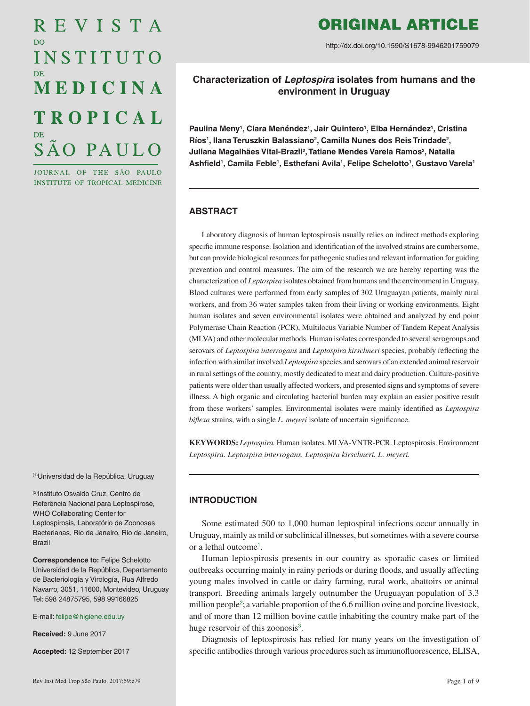# REVISTA D<sub>O</sub> INSTITUTO MEDICINA **TROPICAL** SÃO PAULO

JOURNAL OF THE SÃO PAULO **INSTITUTE OF TROPICAL MEDICINE** 

## ORIGINAL ARTICLE

http://dx.doi.org/10.1590/S1678-9946201759079

## **Characterization of** *Leptospira* **isolates from humans and the environment in Uruguay**

Paulina Meny<sup>1</sup>, Clara Menéndez<sup>1</sup>, Jair Quintero<sup>1</sup>, Elba Hernández<sup>1</sup>, Cristina Ríos<sup>1</sup>, Ilana Teruszkin Balassiano<sup>2</sup>, Camilla Nunes dos Reis Trindade<sup>2</sup>, **Juliana Magalhães Vital-Brazil2 , Tatiane Mendes Varela Ramos2 , Natalia Ashfield1 , Camila Feble1 , Esthefani Avila1 , Felipe Schelotto1 , Gustavo Varela1**

### **ABSTRACT**

Laboratory diagnosis of human leptospirosis usually relies on indirect methods exploring specific immune response. Isolation and identification of the involved strains are cumbersome, but can provide biological resources for pathogenic studies and relevant information for guiding prevention and control measures. The aim of the research we are hereby reporting was the characterization of *Leptospira* isolates obtained from humans and the environment in Uruguay. Blood cultures were performed from early samples of 302 Uruguayan patients, mainly rural workers, and from 36 water samples taken from their living or working environments. Eight human isolates and seven environmental isolates were obtained and analyzed by end point Polymerase Chain Reaction (PCR), Multilocus Variable Number of Tandem Repeat Analysis (MLVA) and other molecular methods. Human isolates corresponded to several serogroups and serovars of *Leptospira interrogans* and *Leptospira kirschneri* species, probably reflecting the infection with similar involved *Leptospira* species and serovars of an extended animal reservoir in rural settings of the country, mostly dedicated to meat and dairy production. Culture-positive patients were older than usually affected workers, and presented signs and symptoms of severe illness. A high organic and circulating bacterial burden may explain an easier positive result from these workers' samples. Environmental isolates were mainly identified as *Leptospira biflexa* strains, with a single *L. meyeri* isolate of uncertain significance.

**KEYWORDS:** *Leptospira.* Human isolates. MLVA-VNTR-PCR. Leptospirosis. Environment *Leptospira*. *Leptospira interrogans. Leptospira kirschneri. L. meyeri.* 

(1)Universidad de la República, Uruguay

(2)Instituto Osvaldo Cruz, Centro de Referência Nacional para Leptospirose, WHO Collaborating Center for Leptospirosis, Laboratório de Zoonoses Bacterianas, Rio de Janeiro, Rio de Janeiro, Brazil

**Correspondence to:** Felipe Schelotto Universidad de la República, Departamento de Bacteriología y Virología, Rua Alfredo Navarro, 3051, 11600, Montevideo, Uruguay Tel: 598 24875795, 598 99166825

E-mail: [felipe@higiene.edu.uy](mailto:felipe@higiene.edu.uy)

**Received:** 9 June 2017

**Accepted:** 12 September 2017

## **INTRODUCTION**

Some estimated 500 to 1,000 human leptospiral infections occur annually in Uruguay, mainly as mild or subclinical illnesses, but sometimes with a severe course or a lethal outcome<sup>[1](#page-6-0)</sup>.

<span id="page-0-0"></span>Human leptospirosis presents in our country as sporadic cases or limited outbreaks occurring mainly in rainy periods or during floods, and usually affecting young males involved in cattle or dairy farming, rural work, abattoirs or animal transport. Breeding animals largely outnumber the Uruguayan population of 3.3 million people<sup>[2](#page-7-0)</sup>; a variable proportion of the 6.6 million ovine and porcine livestock, and of more than 12 million bovine cattle inhabiting the country make part of the huge reservoir of this zoonosis<sup>[3](#page-7-0)</sup>.

<span id="page-0-2"></span><span id="page-0-1"></span>Diagnosis of leptospirosis has relied for many years on the investigation of specific antibodies through various procedures such as immunofluorescence, ELISA,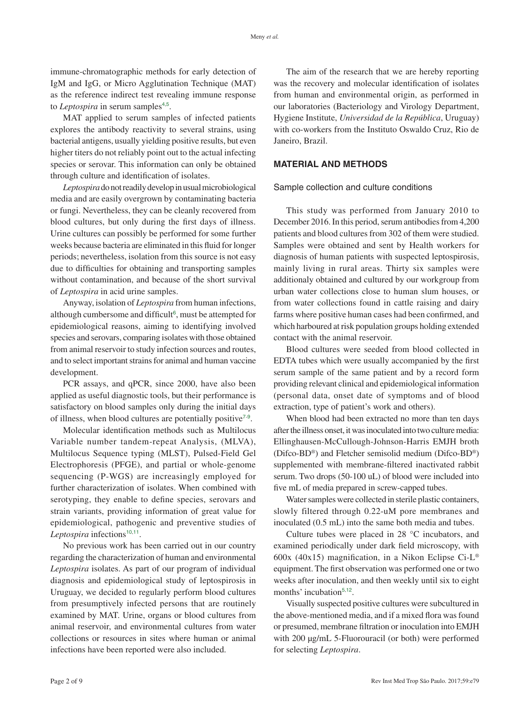immune-chromatographic methods for early detection of IgM and IgG, or Micro Agglutination Technique (MAT) as the reference indirect test revealing immune response to *Leptospira* in serum samples<sup>[4](#page-7-0),[5](#page-7-0)</sup>.

<span id="page-1-0"></span>MAT applied to serum samples of infected patients explores the antibody reactivity to several strains, using bacterial antigens, usually yielding positive results, but even higher titers do not reliably point out to the actual infecting species or serovar. This information can only be obtained through culture and identification of isolates.

*Leptospira* do not readily develop in usual microbiological media and are easily overgrown by contaminating bacteria or fungi. Nevertheless, they can be cleanly recovered from blood cultures, but only during the first days of illness. Urine cultures can possibly be performed for some further weeks because bacteria are eliminated in this fluid for longer periods; nevertheless, isolation from this source is not easy due to difficulties for obtaining and transporting samples without contamination, and because of the short survival of *Leptospira* in acid urine samples.

Anyway, isolation of *Leptospira* from human infections, although cumbersome and difficult<sup>[6](#page-7-0)</sup>, must be attempted for epidemiological reasons, aiming to identifying involved species and serovars, comparing isolates with those obtained from animal reservoir to study infection sources and routes, and to select important strains for animal and human vaccine development.

PCR assays, and qPCR, since 2000, have also been applied as useful diagnostic tools, but their performance is satisfactory on blood samples only during the initial days of illness, when blood cultures are potentially positive<sup>[7](#page-7-0)-[9](#page-7-0)</sup>.

<span id="page-1-3"></span>Molecular identification methods such as Multilocus Variable number tandem-repeat Analysis, (MLVA), Multilocus Sequence typing (MLST), Pulsed-Field Gel Electrophoresis (PFGE), and partial or whole-genome sequencing (P-WGS) are increasingly employed for further characterization of isolates. When combined with serotyping, they enable to define species, serovars and strain variants, providing information of great value for epidemiological, pathogenic and preventive studies of *Leptospira* infections<sup>[10](#page-7-0),[11](#page-7-0)</sup>.

<span id="page-1-5"></span>No previous work has been carried out in our country regarding the characterization of human and environmental *Leptospira* isolates. As part of our program of individual diagnosis and epidemiological study of leptospirosis in Uruguay, we decided to regularly perform blood cultures from presumptively infected persons that are routinely examined by MAT. Urine, organs or blood cultures from animal reservoir, and environmental cultures from water collections or resources in sites where human or animal infections have been reported were also included.

<span id="page-1-1"></span>The aim of the research that we are hereby reporting was the recovery and molecular identification of isolates from human and environmental origin, as performed in our laboratories (Bacteriology and Virology Department, Hygiene Institute, *Universidad de la República*, Uruguay) with co-workers from the Instituto Oswaldo Cruz, Rio de Janeiro, Brazil.

#### **MATERIAL AND METHODS**

#### Sample collection and culture conditions

This study was performed from January 2010 to December 2016. In this period, serum antibodies from 4,200 patients and blood cultures from 302 of them were studied. Samples were obtained and sent by Health workers for diagnosis of human patients with suspected leptospirosis, mainly living in rural areas. Thirty six samples were additionaly obtained and cultured by our workgroup from urban water collections close to human slum houses, or from water collections found in cattle raising and dairy farms where positive human cases had been confirmed, and which harboured at risk population groups holding extended contact with the animal reservoir.

<span id="page-1-2"></span>Blood cultures were seeded from blood collected in EDTA tubes which were usually accompanied by the first serum sample of the same patient and by a record form providing relevant clinical and epidemiological information (personal data, onset date of symptoms and of blood extraction, type of patient's work and others).

<span id="page-1-4"></span>When blood had been extracted no more than ten days after the illness onset, it was inoculated into two culture media: Ellinghausen-McCullough-Johnson-Harris EMJH broth (Difco-BD®) and Fletcher semisolid medium (Difco-BD®) supplemented with membrane-filtered inactivated rabbit serum. Two drops (50-100 uL) of blood were included into five mL of media prepared in screw-capped tubes.

Water samples were collected in sterile plastic containers, slowly filtered through 0.22-uM pore membranes and inoculated (0.5 mL) into the same both media and tubes.

<span id="page-1-6"></span>Culture tubes were placed in 28 °C incubators, and examined periodically under dark field microscopy, with 600x (40x15) magnification, in a Nikon Eclipse Ci- $L^{\circledcirc}$ equipment. The first observation was performed one or two weeks after inoculation, and then weekly until six to eight months' incubation<sup>[5](#page-7-0),[12](#page-7-0)</sup>.

<span id="page-1-7"></span>Visually suspected positive cultures were subcultured in the above-mentioned media, and if a mixed flora was found or presumed, membrane filtration or inoculation into EMJH with 200  $\mu$ g/mL 5-Fluorouracil (or both) were performed for selecting *Leptospira*.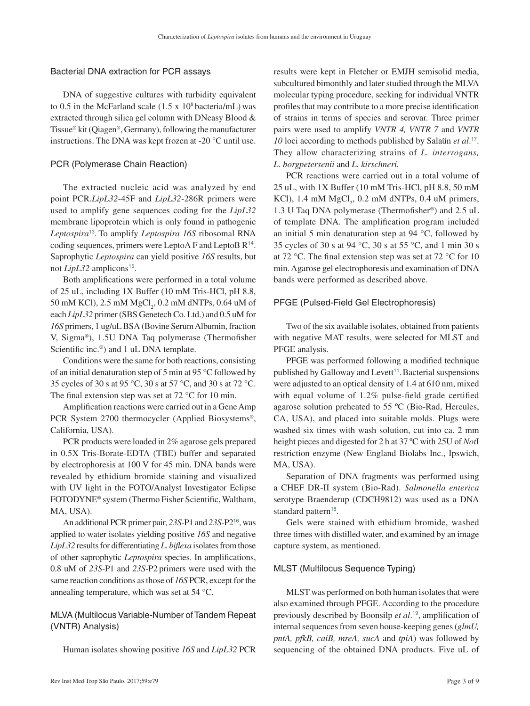#### Bacterial DNA extraction for PCR assays

DNA of suggestive cultures with turbidity equivalent to 0.5 in the McFarland scale  $(1.5 \times 10^8 \text{ bacterial/mL})$  was extracted through silica gel column with DNeasy Blood & Tissue® kit (Qiagen®, Germany), following the manufacturer instructions. The DNA was kept frozen at -20 °C until use.

#### PCR (Polymerase Chain Reaction)

<span id="page-2-0"></span>The extracted nucleic acid was analyzed by end point PCR.*LipL32*-45F and *LipL32*-286R primers were used to amplify gene sequences coding for the *LipL32* membrane lipoprotein which is only found in pathogenic *Leptospira*[13](#page-7-0)*.* To amplify *Leptospira 16S* ribosomal RNA coding sequences, primers were LeptoA F and LeptoB  $R^{14}$  $R^{14}$  $R^{14}$ . Saprophytic *Leptospira* can yield positive *16S* results, but not *LipL32* amplicons<sup>[15](#page-7-0)</sup>.

<span id="page-2-2"></span><span id="page-2-1"></span>Both amplifications were performed in a total volume of 25 uL, including 1X Buffer (10 mM Tris-HCl, pH 8.8, 50 mM KCl), 2.5 mM MgCl<sub>2</sub>, 0.2 mM dNTPs, 0.64 uM of each *LipL32* primer (SBS Genetech Co. Ltd.) and 0.5 uM for *16S* primers, 1 ug/uL BSA (Bovine Serum Albumin, fraction V, Sigma®), 1.5U DNA Taq polymerase (Thermofisher Scientific inc.<sup>®</sup>) and 1 uL DNA template.

Conditions were the same for both reactions, consisting of an initial denaturation step of 5 min at 95 °C followed by 35 cycles of 30 s at 95 °C, 30 s at 57 °C, and 30 s at 72 °C. The final extension step was set at 72 °C for 10 min.

Amplification reactions were carried out in a Gene Amp PCR System 2700 thermocycler (Applied Biosystems®, California, USA).

PCR products were loaded in 2% agarose gels prepared in 0.5X Tris-Borate-EDTA (TBE) buffer and separated by electrophoresis at 100 V for 45 min. DNA bands were revealed by ethidium bromide staining and visualized with UV light in the FOTO/Analyst Investigator Eclipse FOTODYNE® system (Thermo Fisher Scientific, Waltham, MA, USA).

An additional PCR primer pair, *23S*-P1 and *23S*-P2[16](#page-7-0), was applied to water isolates yielding positive *16S* and negative *LipL32* results for differentiating *L. biflexa* isolates from those of other saprophytic *Leptospira* species. In amplifications, 0.8 uM of *23S*-P1 and *23S*-P2 primers were used with the same reaction conditions as those of *16S* PCR, except for the annealing temperature, which was set at 54 °C.

#### MLVA (Multilocus Variable-Number of Tandem Repeat (VNTR) Analysis)

Human isolates showing positive *16S* and *LipL32* PCR

results were kept in Fletcher or EMJH semisolid media, subcultured bimonthly and later studied through the MLVA molecular typing procedure, seeking for individual VNTR profiles that may contribute to a more precise identification of strains in terms of species and serovar. Three primer pairs were used to amplify *VNTR 4, VNTR 7* and *VNTR 10* loci according to methods published by Salaün *et al*. [17](#page-7-0). They allow characterizing strains of *L. interrogans, L. borgpetersenii* and *L. kirschneri.*

<span id="page-2-4"></span>PCR reactions were carried out in a total volume of 25 uL, with 1X Buffer (10 mM Tris-HCl, pH 8.8, 50 mM KCl),  $1.4 \text{ mM MgCl}_2$ ,  $0.2 \text{ mM dNTPs}$ ,  $0.4 \text{ uM primers}$ , 1.3 U Taq DNA polymerase (Thermofisher®) and 2.5 uL of template DNA. The amplification program included an initial 5 min denaturation step at 94  $\degree$ C, followed by 35 cycles of 30 s at 94 °C, 30 s at 55 °C, and 1 min 30 s at 72 °C. The final extension step was set at 72 °C for 10 min. Agarose gel electrophoresis and examination of DNA bands were performed as described above.

#### PFGE (Pulsed-Field Gel Electrophoresis)

Two of the six available isolates, obtained from patients with negative MAT results, were selected for MLST and PFGE analysis.

PFGE was performed following a modified technique published by Galloway and Levett<sup>[11](#page-7-0)</sup>. Bacterial suspensions were adjusted to an optical density of 1.4 at 610 nm, mixed with equal volume of 1.2% pulse-field grade certified agarose solution preheated to 55 ºC (Bio-Rad, Hercules, CA, USA), and placed into suitable molds. Plugs were washed six times with wash solution, cut into ca. 2 mm height pieces and digested for 2 h at 37 ºC with 25U of *Not*I restriction enzyme (New England Biolabs Inc., Ipswich, MA, USA).

Separation of DNA fragments was performed using a CHEF DR-II system (Bio-Rad). *Salmonella enterica*  serotype Braenderup (CDCH9812) was used as a DNA standard pattern<sup>[18](#page-7-0)</sup>.

<span id="page-2-5"></span><span id="page-2-3"></span>Gels were stained with ethidium bromide, washed three times with distilled water, and examined by an image capture system, as mentioned.

#### MLST (Multilocus Sequence Typing)

<span id="page-2-6"></span>MLST was performed on both human isolates that were also examined through PFGE. According to the procedure previously described by Boonsilp *et al*. [19](#page-7-0), amplification of internal sequences from seven house-keeping genes (*glmU, pntA, pfkB, caiB, mreA, sucA* and *tpiA*) was followed by sequencing of the obtained DNA products. Five uL of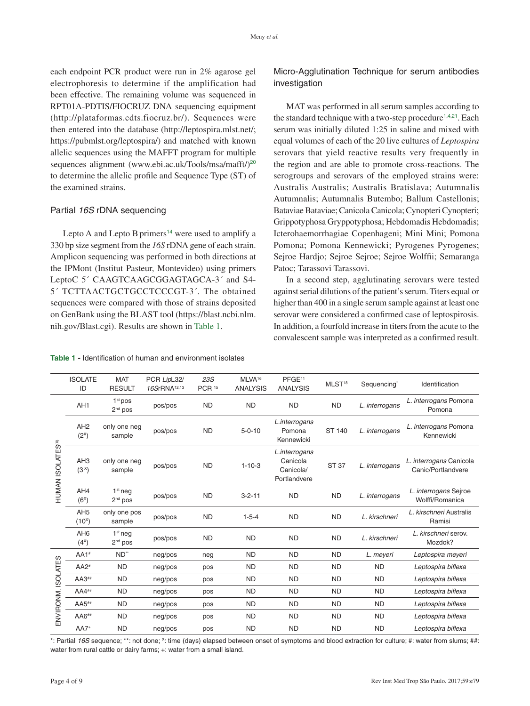<span id="page-3-1"></span>each endpoint PCR product were run in 2% agarose gel electrophoresis to determine if the amplification had been effective. The remaining volume was sequenced in RPT01A-PDTIS/FIOCRUZ DNA sequencing equipment [\(http://plataformas.cdts.fiocruz.br/\)](http://plataformas.cdts.fiocruz.br/). Sequences were then entered into the database [\(http://leptospira.mlst.net/;](http://leptospira.mlst.net/) <https://pubmlst.org/leptospira/>) and matched with known allelic sequences using the MAFFT program for multiple sequences alignment (www.ebi.ac.uk/Tools/msa/mafft/)<sup>[20](#page-7-0)</sup> to determine the allelic profile and Sequence Type (ST) of the examined strains.

#### Partial *16S* rDNA sequencing

Lepto A and Lepto B primers<sup>[14](#page-7-0)</sup> were used to amplify a 330 bp size segment from the *16S* rDNA gene of each strain. Amplicon sequencing was performed in both directions at the IPMont (Institut Pasteur, Montevideo) using primers LeptoC 5´ CAAGTCAAGCGGAGTAGCA-3´ and S4- 5´ TCTTAACTGCTGCCTCCCGT-3´. The obtained sequences were compared with those of strains deposited on GenBank using the BLAST tool (https://blast.ncbi.nlm. nih.gov/Blast.cgi). Results are shown in Table 1.

#### <span id="page-3-0"></span>**Table 1 -** Identification of human and environment isolates

Micro-Agglutination Technique for serum antibodies investigation

<span id="page-3-3"></span><span id="page-3-2"></span>MAT was performed in all serum samples according to the standard technique with a two-step procedure<sup> $1,4,21$  $1,4,21$  $1,4,21$  $1,4,21$  $1,4,21$ </sup>. Each serum was initially diluted 1:25 in saline and mixed with equal volumes of each of the 20 live cultures of *Leptospira* serovars that yield reactive results very frequently in the region and are able to promote cross-reactions. The serogroups and serovars of the employed strains were: Australis Australis; Australis Bratislava; Autumnalis Autumnalis; Autumnalis Butembo; Ballum Castellonis; Bataviae Bataviae; Canicola Canicola; Cynopteri Cynopteri; Grippotyphosa Gryppotyphosa; Hebdomadis Hebdomadis; Icterohaemorrhagiae Copenhageni; Mini Mini; Pomona Pomona; Pomona Kennewicki; Pyrogenes Pyrogenes; Sejroe Hardjo; Sejroe Sejroe; Sejroe Wolffii; Semaranga Patoc; Tarassovi Tarassovi.

In a second step, agglutinating serovars were tested against serial dilutions of the patient's serum. Titers equal or higher than 400 in a single serum sample against at least one serovar were considered a confirmed case of leptospirosis. In addition, a fourfold increase in titers from the acute to the convalescent sample was interpreted as a confirmed result.

|                                   | <b>ISOLATE</b><br>ID          | <b>MAT</b><br><b>RESULT</b>                | PCR LipL32/<br>16SrRNA <sup>12,13</sup> | 23S<br>PCR <sup>15</sup> | MLVA <sup>16</sup><br><b>ANALYSIS</b> | PFGE <sup>11</sup><br><b>ANALYSIS</b>                  | MLST <sup>18</sup> | Sequencing <sup>*</sup> | Identification                                |
|-----------------------------------|-------------------------------|--------------------------------------------|-----------------------------------------|--------------------------|---------------------------------------|--------------------------------------------------------|--------------------|-------------------------|-----------------------------------------------|
| <b>HUMAN ISOLATES<sup>®</sup></b> | AH <sub>1</sub>               | 1 <sup>st</sup> pos<br>2 <sup>nd</sup> pos | pos/pos                                 | <b>ND</b>                | <b>ND</b>                             | <b>ND</b>                                              | <b>ND</b>          | L. interrogans          | L. interrogans Pomona<br>Pomona               |
|                                   | AH2<br>$(2^x)$                | only one neg<br>sample                     | pos/pos                                 | <b>ND</b>                | $5 - 0 - 10$                          | L.interrogans<br>Pomona<br>Kennewicki                  | <b>ST 140</b>      | L. interrogans          | L. interrogans Pomona<br>Kennewicki           |
|                                   | AH <sub>3</sub><br>$(3^x)$    | only one neg<br>sample                     | pos/pos                                 | <b>ND</b>                | $1 - 10 - 3$                          | L.interrogans<br>Canicola<br>Canicola/<br>Portlandvere | ST 37              | L. interrogans          | L. interrogans Canicola<br>Canic/Portlandvere |
|                                   | AH4<br>$(6^x)$                | $1st$ neg<br>2 <sup>nd</sup> pos           | pos/pos                                 | <b>ND</b>                | $3 - 2 - 11$                          | <b>ND</b>                                              | <b>ND</b>          | L. interrogans          | L. interrogans Sejroe<br>Wolffi/Romanica      |
|                                   | AH <sub>5</sub><br>$(10^{x})$ | only one pos<br>sample                     | pos/pos                                 | <b>ND</b>                | $1 - 5 - 4$                           | <b>ND</b>                                              | <b>ND</b>          | L. kirschneri           | L. kirschneri Australis<br>Ramisi             |
|                                   | AH <sub>6</sub><br>$(4^x)$    | $1st$ neg<br>2 <sup>nd</sup> pos           | pos/pos                                 | <b>ND</b>                | <b>ND</b>                             | <b>ND</b>                                              | <b>ND</b>          | L. kirschneri           | L. kirschneri serov.<br>Mozdok?               |
| ENVIRONM. ISOLATES                | $AA1$ <sup>#</sup>            | ND"                                        | neg/pos                                 | neg                      | <b>ND</b>                             | <b>ND</b>                                              | <b>ND</b>          | L. meyeri               | Leptospira meyeri                             |
|                                   | $AA2*$                        | <b>ND</b>                                  | neg/pos                                 | pos                      | <b>ND</b>                             | <b>ND</b>                                              | <b>ND</b>          | <b>ND</b>               | Leptospira biflexa                            |
|                                   | $AA3$ <sup>##</sup>           | <b>ND</b>                                  | neg/pos                                 | pos                      | <b>ND</b>                             | <b>ND</b>                                              | <b>ND</b>          | <b>ND</b>               | Leptospira biflexa                            |
|                                   | $AA$ <sup>##</sup>            | <b>ND</b>                                  | neg/pos                                 | pos                      | <b>ND</b>                             | <b>ND</b>                                              | <b>ND</b>          | <b>ND</b>               | Leptospira biflexa                            |
|                                   | $AA5$ <sup>##</sup>           | <b>ND</b>                                  | neg/pos                                 | pos                      | <b>ND</b>                             | <b>ND</b>                                              | <b>ND</b>          | <b>ND</b>               | Leptospira biflexa                            |
|                                   | $AA6$ <sup>##</sup>           | <b>ND</b>                                  | neg/pos                                 | pos                      | <b>ND</b>                             | <b>ND</b>                                              | <b>ND</b>          | <b>ND</b>               | Leptospira biflexa                            |
|                                   | $AA7+$                        | <b>ND</b>                                  | neg/pos                                 | pos                      | <b>ND</b>                             | <b>ND</b>                                              | <b>ND</b>          | <b>ND</b>               | Leptospira biflexa                            |

\*: Partial 16S sequence; \*\*: not done; X: time (days) elapsed between onset of symptoms and blood extraction for culture; #: water from slums; ##: water from rural cattle or dairy farms; +: water from a small island.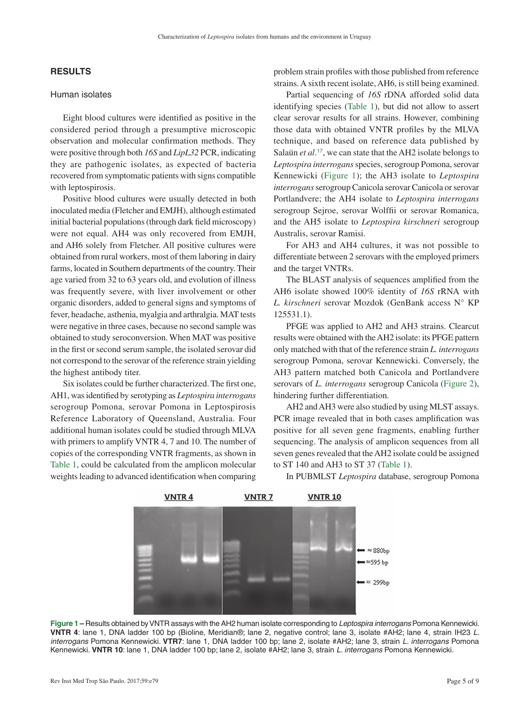#### **RESULTS**

#### Human isolates

Eight blood cultures were identified as positive in the considered period through a presumptive microscopic observation and molecular confirmation methods. They were positive through both *16S* and *LipL32* PCR, indicating they are pathogenic isolates, as expected of bacteria recovered from symptomatic patients with signs compatible with leptospirosis.

Positive blood cultures were usually detected in both inoculated media (Fletcher and EMJH), although estimated initial bacterial populations (through dark field microscopy) were not equal. AH4 was only recovered from EMJH, and AH6 solely from Fletcher. All positive cultures were obtained from rural workers, most of them laboring in dairy farms, located in Southern departments of the country. Their age varied from 32 to 63 years old, and evolution of illness was frequently severe, with liver involvement or other organic disorders, added to general signs and symptoms of fever, headache, asthenia, myalgia and arthralgia. MAT tests were negative in three cases, because no second sample was obtained to study seroconversion. When MAT was positive in the first or second serum sample, the isolated serovar did not correspond to the serovar of the reference strain yielding the highest antibody titer.

Six isolates could be further characterized. The first one, AH1, was identified by serotyping as *Leptospira interrogans* serogroup Pomona, serovar Pomona in Leptospirosis Reference Laboratory of Queensland, Australia. Four additional human isolates could be studied through MLVA with primers to amplify VNTR 4, 7 and 10. The number of copies of the corresponding VNTR fragments, as shown in [Table 1](#page-3-1), could be calculated from the amplicon molecular weights leading to advanced identification when comparing

problem strain profiles with those published from reference strains. A sixth recent isolate, AH6, is still being examined.

Partial sequencing of *16S* rDNA afforded solid data identifying species ([Table](#page-3-1) 1), but did not allow to assert clear serovar results for all strains. However, combining those data with obtained VNTR profiles by the MLVA technique, and based on reference data published by Salaün *et al*. [17](#page-7-0), we can state that the AH2 isolate belongs to *Leptospira interrogans* species, serogroup Pomona, serovar Kennewicki (Figure 1); the AH3 isolate to *Leptospira interrogans* serogroup Canicola serovar Canicola or serovar Portlandvere; the AH4 isolate to *Leptospira interrogans* serogroup Sejroe, serovar Wolffii or serovar Romanica, and the AH5 isolate to *Leptospira kirschneri* serogroup Australis, serovar Ramisi.

<span id="page-4-0"></span>For AH3 and AH4 cultures, it was not possible to differentiate between 2 serovars with the employed primers and the target VNTRs.

The BLAST analysis of sequences amplified from the AH6 isolate showed 100% identity of *16S* rRNA with *L. kirschneri* serovar Mozdok (GenBank access N° KP 125531.1).

PFGE was applied to AH2 and AH3 strains. Clearcut results were obtained with the AH2 isolate: its PFGE pattern only matched with that of the reference strain *L. interrogans* serogroup Pomona, serovar Kennewicki. Conversely, the AH3 pattern matched both Canicola and Portlandvere serovars of *L. interrogans* serogroup Canicola ([Figure 2\)](#page-5-0), hindering further differentiation.

<span id="page-4-1"></span>AH2 and AH3 were also studied by using MLST assays. PCR image revealed that in both cases amplification was positive for all seven gene fragments, enabling further sequencing. The analysis of amplicon sequences from all seven genes revealed that the AH2 isolate could be assigned to ST 140 and AH3 to ST 37 [\(Table 1\)](#page-3-1).

In PUBMLST *Leptospira* database, serogroup Pomona



**Figure 1 –** Results obtained by VNTR assays with the AH2 human isolate corresponding to *Leptospira interrogans* Pomona Kennewicki. **VNTR 4**[: lane 1, DNA ladder 100 bp \(Bioline, Meridian®; lane 2, negative control; lane 3, isolate #AH2; lane 4, strain IH23](#page-4-0) *L. interrogans* Pomona Kennewicki. **VTR7**: lane 1, DNA ladder 100 bp; lane 2, isolate #AH2; lane 3, strain *L. interrogans* Pomona Kennewicki. **VNTR 10**: lane 1, DNA ladder 100 bp; lane 2, isolate #AH2; lane 3, strain *L. interrogans* Pomona Kennewicki.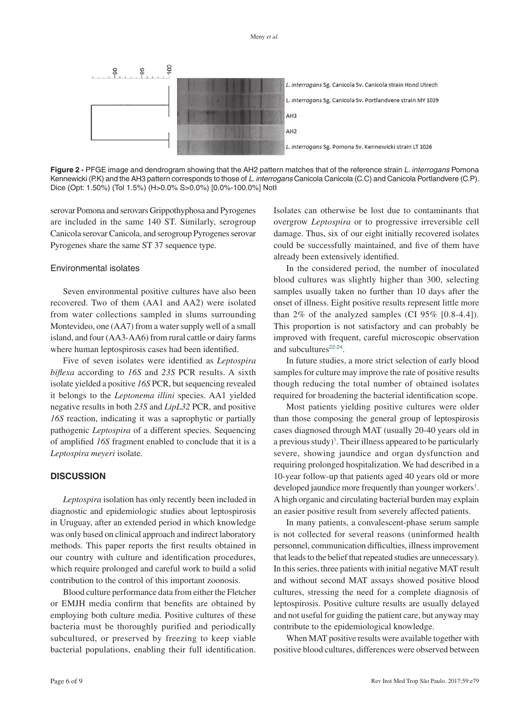<span id="page-5-0"></span>

**Figure 2 -** [PFGE image and dendrogram showing that the AH2 pattern matches that of the reference strain](#page-4-1) *L. interrogans* Pomona Kennewicki (P.K) and the AH3 pattern corresponds to those of *L. interrogans* Canicola Canicola (C.C) and Canicola Portlandvere (C.P). Dice (Opt: 1.50%) (Tol 1.5%) (H>0.0% S>0.0%) [0.0%-100.0%] NotI

serovar Pomona and serovars Grippothyphosa and Pyrogenes are included in the same 140 ST. Similarly, serogroup Canicola serovar Canicola, and serogroup Pyrogenes serovar Pyrogenes share the same ST 37 sequence type.

#### Environmental isolates

Seven environmental positive cultures have also been recovered. Two of them (AA1 and AA2) were isolated from water collections sampled in slums surrounding Montevideo, one (AA7) from a water supply well of a small island, and four (AA3-AA6) from rural cattle or dairy farms where human leptospirosis cases had been identified.

Five of seven isolates were identified as *Leptospira biflexa* according to *16S* and *23S* PCR results. A sixth isolate yielded a positive *16S* PCR, but sequencing revealed it belongs to the *Leptonema illini* species. AA1 yielded negative results in both *23S* and *LipL32* PCR, and positive *16S* reaction, indicating it was a saprophytic or partially pathogenic *Leptospira* of a different species. Sequencing of amplified *16S* fragment enabled to conclude that it is a *Leptospira meyeri* isolate.

#### **DISCUSSION**

*Leptospira* isolation has only recently been included in diagnostic and epidemiologic studies about leptospirosis in Uruguay, after an extended period in which knowledge was only based on clinical approach and indirect laboratory methods. This paper reports the first results obtained in our country with culture and identification procedures, which require prolonged and careful work to build a solid contribution to the control of this important zoonosis.

Blood culture performance data from either the Fletcher or EMJH media confirm that benefits are obtained by employing both culture media. Positive cultures of these bacteria must be thoroughly purified and periodically subcultured, or preserved by freezing to keep viable bacterial populations, enabling their full identification.

Isolates can otherwise be lost due to contaminants that overgrow *Leptospira* or to progressive irreversible cell damage. Thus, six of our eight initially recovered isolates could be successfully maintained, and five of them have already been extensively identified.

In the considered period, the number of inoculated blood cultures was slightly higher than 300, selecting samples usually taken no further than 10 days after the onset of illness. Eight positive results represent little more than 2% of the analyzed samples (CI  $95\%$  [0.8-4.4]). This proportion is not satisfactory and can probably be improved with frequent, careful microscopic observation and subcultures<sup>[22](#page-7-0)-[24](#page-7-0)</sup>.

<span id="page-5-2"></span><span id="page-5-1"></span>In future studies, a more strict selection of early blood samples for culture may improve the rate of positive results though reducing the total number of obtained isolates required for broadening the bacterial identification scope.

Most patients yielding positive cultures were older than those composing the general group of leptospirosis cases diagnosed through MAT (usually 20-40 years old in a previous study)<sup>[1](#page-6-0)</sup>. Their illness appeared to be particularly severe, showing jaundice and organ dysfunction and requiring prolonged hospitalization. We had described in a 10-year follow-up that patients aged 40 years old or more developed jaundice more frequently than younger workers<sup>[1](#page-6-0)</sup>. A high organic and circulating bacterial burden may explain an easier positive result from severely affected patients.

In many patients, a convalescent-phase serum sample is not collected for several reasons (uninformed health personnel, communication difficulties, illness improvement that leads to the belief that repeated studies are unnecessary). In this series, three patients with initial negative MAT result and without second MAT assays showed positive blood cultures, stressing the need for a complete diagnosis of leptospirosis. Positive culture results are usually delayed and not useful for guiding the patient care, but anyway may contribute to the epidemiological knowledge.

When MAT positive results were available together with positive blood cultures, differences were observed between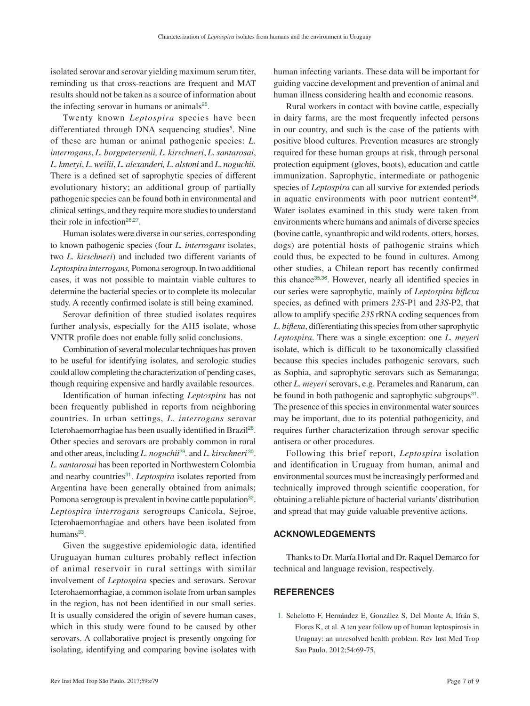<span id="page-6-0"></span>isolated serovar and serovar yielding maximum serum titer, reminding us that cross-reactions are frequent and MAT results should not be taken as a source of information about the infecting serovar in humans or animals $25$ .

<span id="page-6-1"></span>Twenty known *Leptospira* species have been differentiated through DNA sequencing studies<sup>5</sup>. Nine of these are human or animal pathogenic species: *L. interrogans*, *L. borgpetersenii, L. kirschneri*, *L. santarosai*, *L. kmetyi*, *L. weilii*, *L. alexanderi, L. alstoni* and *L. noguchii.*  There is a defined set of saprophytic species of different evolutionary history; an additional group of partially pathogenic species can be found both in environmental and clinical settings, and they require more studies to understand their role in infection $26,27$  $26,27$  $26,27$ .

<span id="page-6-2"></span>Human isolates were diverse in our series, corresponding to known pathogenic species (four *L. interrogans* isolates, two *L. kirschneri*) and included two different variants of *Leptospira interrogans,* Pomona serogroup. In two additional cases, it was not possible to maintain viable cultures to determine the bacterial species or to complete its molecular study. A recently confirmed isolate is still being examined.

Serovar definition of three studied isolates requires further analysis, especially for the AH5 isolate, whose VNTR profile does not enable fully solid conclusions.

Combination of several molecular techniques has proven to be useful for identifying isolates, and serologic studies could allow completing the characterization of pending cases, though requiring expensive and hardly available resources.

<span id="page-6-4"></span>Identification of human infecting *Leptospira* has not been frequently published in reports from neighboring countries. In urban settings, *L. interrogans* serovar Icterohaemorrhagiae has been usually identified in Brazil[28](#page-8-0). Other species and serovars are probably common in rural and other areas, including *L. noguchii*[29](#page-8-0)*.* and *L. kirschneri* [30](#page-8-0). *L. santarosai* has been reported in Northwestern Colombia and nearby countries<sup>[31](#page-8-0)</sup>. *Leptospira* isolates reported from Argentina have been generally obtained from animals; Pomona serogroup is prevalent in bovine cattle population<sup>[32](#page-8-0)</sup>. *Leptospira interrogans* serogroups Canicola, Sejroe, Icterohaemorrhagiae and others have been isolated from humans<sup>[33](#page-8-0)</sup>.

<span id="page-6-9"></span><span id="page-6-8"></span>Given the suggestive epidemiologic data, identified Uruguayan human cultures probably reflect infection of animal reservoir in rural settings with similar involvement of *Leptospira* species and serovars. Serovar Icterohaemorrhagiae, a common isolate from urban samples in the region, has not been identified in our small series. It is usually considered the origin of severe human cases, which in this study were found to be caused by other serovars. A collaborative project is presently ongoing for isolating, identifying and comparing bovine isolates with

human infecting variants. These data will be important for guiding vaccine development and prevention of animal and human illness considering health and economic reasons.

<span id="page-6-12"></span><span id="page-6-11"></span><span id="page-6-10"></span><span id="page-6-3"></span>Rural workers in contact with bovine cattle, especially in dairy farms, are the most frequently infected persons in our country, and such is the case of the patients with positive blood cultures. Prevention measures are strongly required for these human groups at risk, through personal protection equipment (gloves, boots), education and cattle immunization. Saprophytic, intermediate or pathogenic species of *Leptospira* can all survive for extended periods in aquatic environments with poor nutrient content<sup>[34](#page-8-0)</sup>. Water isolates examined in this study were taken from environments where humans and animals of diverse species (bovine cattle, synanthropic and wild rodents, otters, horses, dogs) are potential hosts of pathogenic strains which could thus, be expected to be found in cultures. Among other studies, a Chilean report has recently confirmed this chance<sup>[35](#page-8-0),[36](#page-8-0)</sup>. However, nearly all identified species in our series were saprophytic, mainly of *Leptospira biflexa* species, as defined with primers *23S*-P1 and *23S*-P2, that allow to amplify specific *23S* rRNA coding sequences from *L. biflexa*, differentiating this species from other saprophytic *Leptospira*. There was a single exception: one *L. meyeri*  isolate, which is difficult to be taxonomically classified because this species includes pathogenic serovars, such as Sophia, and saprophytic serovars such as Semaranga; other *L. meyeri* serovars, e.g. Perameles and Ranarum, can be found in both pathogenic and saprophytic subgroups<sup>[31](#page-8-0)</sup>. The presence of this species in environmental water sources may be important, due to its potential pathogenicity, and requires further characterization through serovar specific antisera or other procedures.

<span id="page-6-7"></span><span id="page-6-6"></span><span id="page-6-5"></span>Following this brief report, *Leptospira* isolation and identification in Uruguay from human, animal and environmental sources must be increasingly performed and technically improved through scientific cooperation, for obtaining a reliable picture of bacterial variants' distribution and spread that may guide valuable preventive actions.

#### **ACKNOWLEDGEMENTS**

Thanks to Dr. María Hortal and Dr. Raquel Demarco for technical and language revision, respectively.

#### **REFERENCES**

1. [Schelotto F, Hernández E, González S, Del Monte A, Ifrán S,](#page-0-0)  [Flores K, et al. A ten year follow up of human leptospirosis in](#page-0-0)  [Uruguay: an unresolved health problem. Rev Inst Med Trop](#page-0-0)  [Sao Paulo. 2012;54:69-75.](#page-0-0)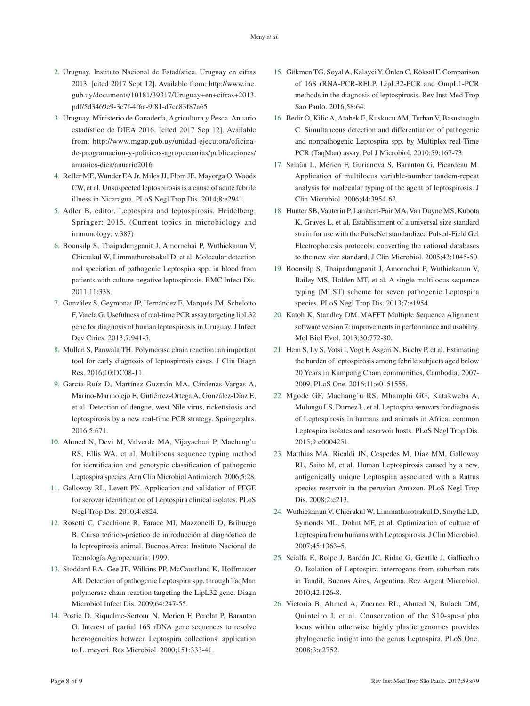- <span id="page-7-0"></span>[2. Uruguay. Instituto Nacional de Estadística. Uruguay en cifras](#page-0-1)  [2013. \[cited 2017 Sept 12\]. Available from: http://www.ine.](#page-0-1) [gub.uy/documents/10181/39317/Uruguay+en+cifras+2013.](#page-0-1) [pdf/5d3469e9-3c7f-4f6a-9f81-d7ce83f87a65](#page-0-1)
- [3. Uruguay. Ministerio de Ganadería, Agricultura y Pesca. Anuario](#page-0-2)  [estadístico de DIEA 2016. \[cited 2017 Sep 12\]. Available](#page-0-2)  [from:](#page-0-2) [http://www.mgap.gub.uy/unidad-ejecutora/oficina](http://www.mgap.gub.uy/unidad-ejecutora/oficina-de-programacion-y-politicas-agropecuarias/publicaciones/anuarios-diea/anuario2016)[de-programacion-y-politicas-agropecuarias/publicaciones/](http://www.mgap.gub.uy/unidad-ejecutora/oficina-de-programacion-y-politicas-agropecuarias/publicaciones/anuarios-diea/anuario2016) [anuarios-diea/anuario2016](http://www.mgap.gub.uy/unidad-ejecutora/oficina-de-programacion-y-politicas-agropecuarias/publicaciones/anuarios-diea/anuario2016)
- [4. Reller ME, Wunder EA Jr, Miles JJ, Flom JE, Mayorga O, Woods](#page-1-0)  [CW, et al. Unsuspected leptospirosis is a cause of acute febrile](#page-1-0)  [illness in Nicaragua. PLoS Negl Trop Dis. 2014;8:e2941.](#page-1-0)
- [5. Adler B, editor. Leptospira and leptospirosis. Heidelberg:](#page-1-1)  [Springer; 2015. \(Current topics in microbiology and](#page-1-1)  [immunology; v.387\)](#page-1-1)
- [6. Boonsilp S, Thaipadungpanit J, Amornchai P, Wuthiekanun V,](#page-1-2)  [Chierakul W, Limmathurotsakul D, et al. Molecular detection](#page-1-2)  [and speciation of pathogenic Leptospira spp. in blood from](#page-1-2)  [patients with culture-negative leptospirosis. BMC Infect Dis.](#page-1-2)  [2011;11:338.](#page-1-2)
- [7. González S, Geymonat JP, Hernández E, Marqués JM, Schelotto](#page-1-3)  [F, Varela G. Usefulness of real-time PCR assay targeting lipL32](#page-1-3)  [gene for diagnosis of human leptospirosis in Uruguay. J Infect](#page-1-3)  [Dev Ctries. 2013;7:941-5.](#page-1-3)
- [8. Mullan S, Panwala TH. Polymerase chain reaction: an important](#page-1-4)  [tool for early diagnosis of leptospirosis cases. J Clin Diagn](#page-1-4)  [Res. 2016;10:DC08-11.](#page-1-4)
- [9. García-Ruíz D, Martínez-Guzmán MA, Cárdenas-Vargas A,](#page-1-4)  [Marino-Marmolejo E, Gutiérrez-Ortega A, González-Díaz E,](#page-1-4)  [et al. Detection of dengue, west Nile virus, rickettsiosis and](#page-1-4)  [leptospirosis by a new real-time PCR strategy. Springerplus.](#page-1-4)  [2016;5:671.](#page-1-4)
- [10. Ahmed N, Devi M, Valverde MA, Vijayachari P, Machang'u](#page-1-5)  [RS, Ellis WA, et al. Multilocus sequence typing method](#page-1-5)  [for identification and genotypic classification of pathogenic](#page-1-5)  [Leptospira species. Ann Clin Microbiol Antimicrob. 2006;5:28.](#page-1-5)
- [11. Galloway RL, Levett PN. Application and validation of PFGE](#page-1-6)  [for serovar identification of Leptospira clinical isolates. PLoS](#page-1-6)  [Negl Trop Dis. 2010;4:e824.](#page-1-6)
- [12. Rosetti C, Cacchione R, Farace MI, Mazzonelli D, Brihuega](#page-1-7)  [B. Curso teórico-práctico de introducción al diagnóstico de](#page-1-7)  [la leptospirosis animal. Buenos Aires: Instituto Nacional de](#page-1-7)  [Tecnología Agropecuaria; 1999.](#page-1-7)
- [13. Stoddard RA, Gee JE, Wilkins PP, McCaustland K, Hoffmaster](#page-2-0)  [AR. Detection of pathogenic Leptospira spp. through TaqMan](#page-2-0)  [polymerase chain reaction targeting the LipL32 gene. Diagn](#page-2-0)  [Microbiol Infect Dis. 2009;64:247-55.](#page-2-0)
- [14. Postic D, Riquelme-Sertour N, Merien F, Perolat P, Baranton](#page-2-1)  [G. Interest of partial 16S rDNA gene sequences to resolve](#page-2-1)  [heterogeneities between Leptospira collections: application](#page-2-1)  [to L. meyeri. Res Microbiol. 2000;151:333-41.](#page-2-1)
- [15. Gökmen TG, Soyal A, Kalayci Y, Önlen C, Köksal F. Comparison](#page-2-2)  [of 16S rRNA-PCR-RFLP, LipL32-PCR and OmpL1-PCR](#page-2-2)  [methods in the diagnosis of leptospirosis. Rev Inst Med Trop](#page-2-2)  [Sao Paulo. 2016;58:64.](#page-2-2)
- [16. Bedir O, Kilic A, Atabek E, Kuskucu AM, Turhan V, Basustaoglu](#page-2-3)  [C. Simultaneous detection and differentiation of pathogenic](#page-2-3)  [and nonpathogenic Leptospira spp. by Multiplex real-Time](#page-2-3)  [PCR \(TaqMan\) assay. Pol J Microbiol. 2010;59:167-73.](#page-2-3)
- [17. Salaün L, Mérien F, Gurianova S, Baranton G, Picardeau M.](#page-2-4)  [Application of multilocus variable-number tandem-repeat](#page-2-4)  [analysis for molecular typing of the agent of leptospirosis. J](#page-2-4)  [Clin Microbiol. 2006;44:3954-62.](#page-2-4)
- [18. Hunter SB, Vauterin P, Lambert-Fair MA, Van Duyne MS, Kubota](#page-2-5)  [K, Graves L, et al. Establishment of a universal size standard](#page-2-5)  [strain for use with the PulseNet standardized Pulsed-Field Gel](#page-2-5)  [Electrophoresis protocols: converting the national databases](#page-2-5)  [to the new size standard. J Clin Microbiol. 2005;43:1045-50.](#page-2-5)
- [19. Boonsilp S, Thaipadungpanit J, Amornchai P, Wuthiekanun V,](#page-2-6)  [Bailey MS, Holden MT, et al. A single multilocus sequence](#page-2-6)  [typing \(MLST\) scheme for seven pathogenic Leptospira](#page-2-6)  [species. PLoS Negl Trop Dis. 2013;7:e1954.](#page-2-6)
- 20. Katoh K, Standley DM. [MAFFT Multiple Sequence Alignment](#page-3-2)  [software version 7: improvements in performance and usability.](#page-3-2)  [Mol Biol Evol. 2013;30:772-80.](#page-3-2)
- [21. Hem S, Ly S, Votsi I, Vogt F, Asgari N, Buchy P, et al. Estimating](#page-3-3)  [the burden of leptospirosis among febrile subjects aged below](#page-3-3)  [20 Years in Kampong Cham communities, Cambodia, 2007-](#page-3-3) [2009. PLoS One. 2016;11:e0151555.](#page-3-3)
- [22. Mgode GF, Machang'u RS, Mhamphi GG, Katakweba A,](#page-5-1)  [Mulungu LS, Durnez L, et al. Leptospira serovars for diagnosis](#page-5-1)  [of Leptospirosis in humans and animals in Africa: common](#page-5-1)  [Leptospira isolates and reservoir hosts. PLoS Negl Trop Dis.](#page-5-1)  [2015;9:e0004251.](#page-5-1)
- [23. Matthias MA, Ricaldi JN, Cespedes M, Diaz MM, Galloway](#page-5-2)  [RL, Saito M, et al. Human Leptospirosis caused by a new,](#page-5-2)  [antigenically unique Leptospira associated with a Rattus](#page-5-2)  [species reservoir in the peruvian Amazon. PLoS Negl Trop](#page-5-2)  [Dis. 2008;2:e213.](#page-5-2)
- [24. Wuthiekanun V, Chierakul W, Limmathurotsakul D, Smythe LD,](#page-5-2)  [Symonds ML, Dohnt MF, et al. Optimization of culture of](#page-5-2)  [Leptospira from humans with Leptospirosis](#page-5-2)**.** J Clin Microbiol. [2007;45:1363–5.](#page-5-2)
- [25. Scialfa E, Bolpe J, Bardón JC, Ridao G, Gentile J, Gallicchio](#page-6-1)  [O. Isolation of Leptospira interrogans from suburban rats](#page-6-1)  [in Tandil, Buenos Aires, Argentina. Rev Argent Microbiol.](#page-6-1)  [2010;42:126-8.](#page-6-1)
- [26. Victoria B, Ahmed A, Zuerner RL, Ahmed N, Bulach DM,](#page-6-2)  [Quinteiro J, et al. Conservation of the S10-spc-alpha](#page-6-2)  [locus within otherwise highly plastic genomes provides](#page-6-2)  [phylogenetic insight into the genus Leptospira. PLoS One.](#page-6-2)  [2008;3:e2752.](#page-6-2)